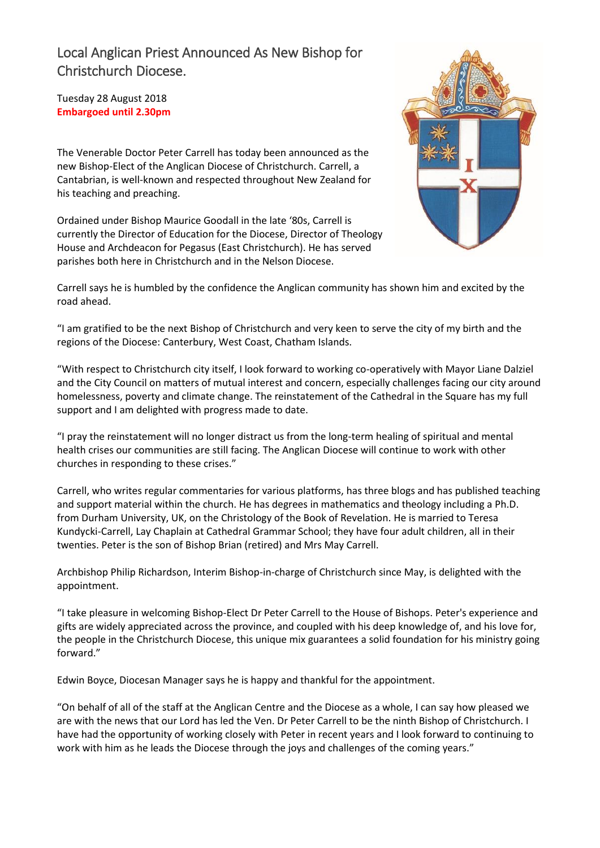## Local Anglican Priest Announced As New Bishop for Christchurch Diocese.

Tuesday 28 August 2018 **Embargoed until 2.30pm** 

The Venerable Doctor Peter Carrell has today been announced as the new Bishop-Elect of the Anglican Diocese of Christchurch. Carrell, a Cantabrian, is well-known and respected throughout New Zealand for his teaching and preaching.

Ordained under Bishop Maurice Goodall in the late '80s, Carrell is currently the Director of Education for the Diocese, Director of Theology House and Archdeacon for Pegasus (East Christchurch). He has served parishes both here in Christchurch and in the Nelson Diocese.



Carrell says he is humbled by the confidence the Anglican community has shown him and excited by the road ahead.

"I am gratified to be the next Bishop of Christchurch and very keen to serve the city of my birth and the regions of the Diocese: Canterbury, West Coast, Chatham Islands.

"With respect to Christchurch city itself, I look forward to working co-operatively with Mayor Liane Dalziel and the City Council on matters of mutual interest and concern, especially challenges facing our city around homelessness, poverty and climate change. The reinstatement of the Cathedral in the Square has my full support and I am delighted with progress made to date.

"I pray the reinstatement will no longer distract us from the long-term healing of spiritual and mental health crises our communities are still facing. The Anglican Diocese will continue to work with other churches in responding to these crises."

Carrell, who writes regular commentaries for various platforms, has three blogs and has published teaching and support material within the church. He has degrees in mathematics and theology including a Ph.D. from Durham University, UK, on the Christology of the Book of Revelation. He is married to Teresa Kundycki-Carrell, Lay Chaplain at Cathedral Grammar School; they have four adult children, all in their twenties. Peter is the son of Bishop Brian (retired) and Mrs May Carrell.

Archbishop Philip Richardson, Interim Bishop-in-charge of Christchurch since May, is delighted with the appointment.

"I take pleasure in welcoming Bishop-Elect Dr Peter Carrell to the House of Bishops. Peter's experience and gifts are widely appreciated across the province, and coupled with his deep knowledge of, and his love for, the people in the Christchurch Diocese, this unique mix guarantees a solid foundation for his ministry going forward."

Edwin Boyce, Diocesan Manager says he is happy and thankful for the appointment.

"On behalf of all of the staff at the Anglican Centre and the Diocese as a whole, I can say how pleased we are with the news that our Lord has led the Ven. Dr Peter Carrell to be the ninth Bishop of Christchurch. I have had the opportunity of working closely with Peter in recent years and I look forward to continuing to work with him as he leads the Diocese through the joys and challenges of the coming years."